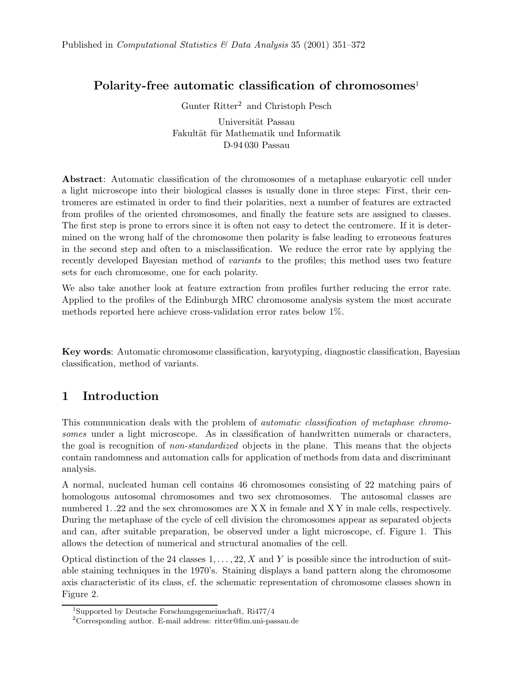## Polarity-free automatic classification of chromosomes<sup>1</sup>

Gunter Ritter<sup>2</sup> and Christoph Pesch

Universität Passau Fakultät für Mathematik und Informatik D-94 030 Passau

Abstract: Automatic classification of the chromosomes of a metaphase eukaryotic cell under a light microscope into their biological classes is usually done in three steps: First, their centromeres are estimated in order to find their polarities, next a number of features are extracted from profiles of the oriented chromosomes, and finally the feature sets are assigned to classes. The first step is prone to errors since it is often not easy to detect the centromere. If it is determined on the wrong half of the chromosome then polarity is false leading to erroneous features in the second step and often to a misclassification. We reduce the error rate by applying the recently developed Bayesian method of variants to the profiles; this method uses two feature sets for each chromosome, one for each polarity.

We also take another look at feature extraction from profiles further reducing the error rate. Applied to the profiles of the Edinburgh MRC chromosome analysis system the most accurate methods reported here achieve cross-validation error rates below 1%.

Key words: Automatic chromosome classification, karyotyping, diagnostic classification, Bayesian classification, method of variants.

# 1 Introduction

This communication deals with the problem of automatic classification of metaphase chromosomes under a light microscope. As in classification of handwritten numerals or characters, the goal is recognition of non-standardized objects in the plane. This means that the objects contain randomness and automation calls for application of methods from data and discriminant analysis.

A normal, nucleated human cell contains 46 chromosomes consisting of 22 matching pairs of homologous autosomal chromosomes and two sex chromosomes. The autosomal classes are numbered 1..22 and the sex chromosomes are XX in female and XY in male cells, respectively. During the metaphase of the cycle of cell division the chromosomes appear as separated objects and can, after suitable preparation, be observed under a light microscope, cf. Figure 1. This allows the detection of numerical and structural anomalies of the cell.

Optical distinction of the 24 classes  $1, \ldots, 22, X$  and Y is possible since the introduction of suitable staining techniques in the 1970's. Staining displays a band pattern along the chromosome axis characteristic of its class, cf. the schematic representation of chromosome classes shown in Figure 2.

<sup>1</sup>Supported by Deutsche Forschungsgemeinschaft, Ri477/4

<sup>2</sup>Corresponding author. E-mail address: ritter@fim.uni-passau.de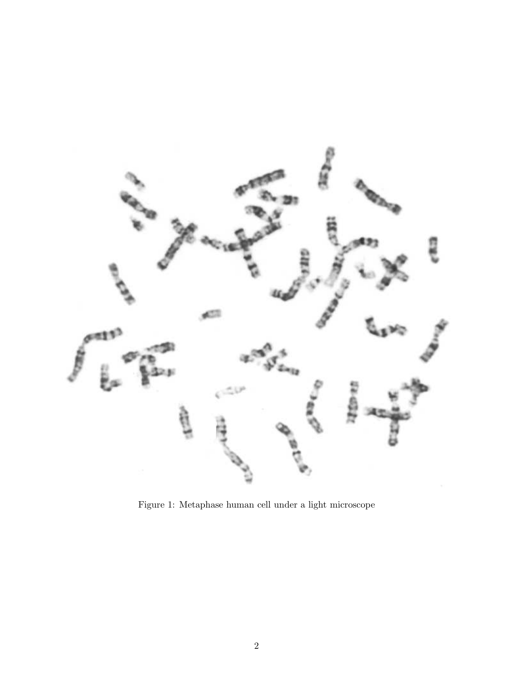

Figure 1: Metaphase human cell under a light microscope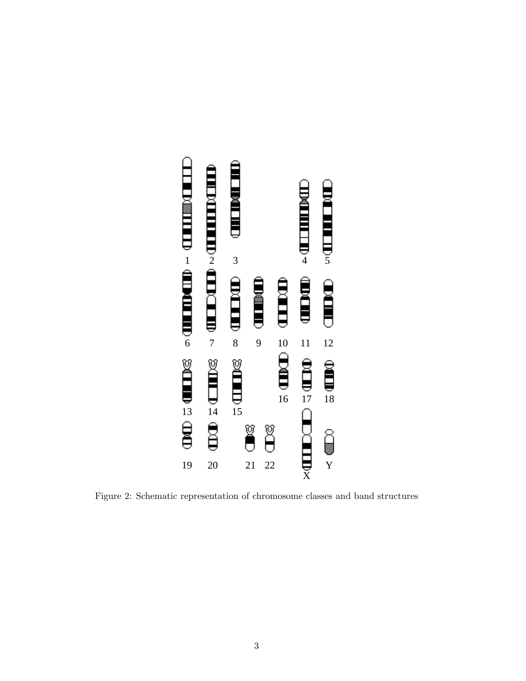

Figure 2: Schematic representation of chromosome classes and band structures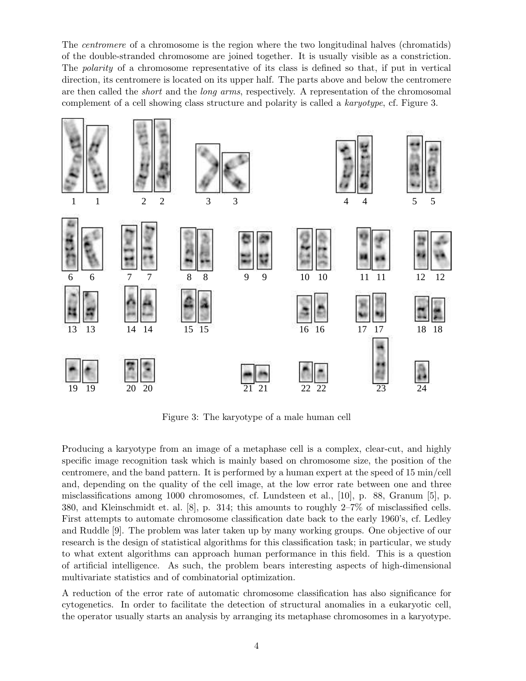The centromere of a chromosome is the region where the two longitudinal halves (chromatids) of the double-stranded chromosome are joined together. It is usually visible as a constriction. The *polarity* of a chromosome representative of its class is defined so that, if put in vertical direction, its centromere is located on its upper half. The parts above and below the centromere are then called the short and the long arms, respectively. A representation of the chromosomal are then called the *short* and the *long arms*, respectively. A representation of the chromosomal<br>complement of a cell showing class structure and polarity is called a *karyotype*, cf. Figure 3.



Figure 3: The karyotype of a male human cell

Producing a karyotype from an image of a metaphase cell is a complex, clear-cut, and highly specific image recognition task which is mainly based on chromosome size, the position of the centromere, and the band pattern. It is performed by a human expert at the speed of 15 min/cell and, depending on the quality of the cell image, at the low error rate between one and three misclassifications among 1000 chromosomes, cf. Lundsteen et al., [10], p. 88, Granum [5], p. 380, and Kleinschmidt et. al. [8], p. 314; this amounts to roughly 2–7% of misclassified cells. First attempts to automate chromosome classification date back to the early 1960's, cf. Ledley and Ruddle [9]. The problem was later taken up by many working groups. One objective of our research is the design of statistical algorithms for this classification task; in particular, we study to what extent algorithms can approach human performance in this field. This is a question of artificial intelligence. As such, the problem bears interesting aspects of high-dimensional multivariate statistics and of combinatorial optimization.

A reduction of the error rate of automatic chromosome classification has also significance for cytogenetics. In order to facilitate the detection of structural anomalies in a eukaryotic cell, the operator usually starts an analysis by arranging its metaphase chromosomes in a karyotype.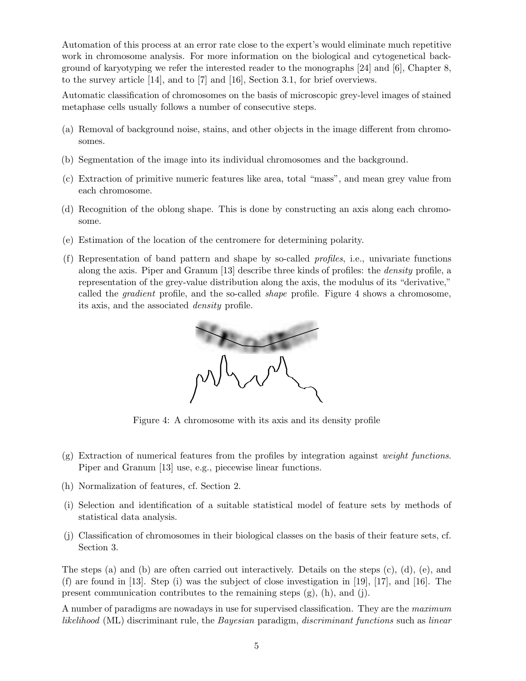Automation of this process at an error rate close to the expert's would eliminate much repetitive work in chromosome analysis. For more information on the biological and cytogenetical background of karyotyping we refer the interested reader to the monographs [24] and [6], Chapter 8, to the survey article [14], and to [7] and [16], Section 3.1, for brief overviews.

Automatic classification of chromosomes on the basis of microscopic grey-level images of stained metaphase cells usually follows a number of consecutive steps.

- (a) Removal of background noise, stains, and other objects in the image different from chromosomes.
- (b) Segmentation of the image into its individual chromosomes and the background.
- (c) Extraction of primitive numeric features like area, total "mass", and mean grey value from each chromosome.
- (d) Recognition of the oblong shape. This is done by constructing an axis along each chromosome.
- (e) Estimation of the location of the centromere for determining polarity.
- (f) Representation of band pattern and shape by so-called profiles, i.e., univariate functions along the axis. Piper and Granum [13] describe three kinds of profiles: the density profile, a representation of the grey-value distribution along the axis, the modulus of its "derivative," called the *gradient* profile, and the so-called *shape* profile. Figure 4 shows a chromosome, representation of the grey-value distribution along the axis, the modulus of its "derivative,"<br>called the *gradient* profile, and the so-called *shape* profile. Figure 4 shows a chromosome,<br>its axis, and the associated *de*



Figure 4: A chromosome with its axis and its density profile

- $(g)$  Extraction of numerical features from the profiles by integration against *weight functions*. Piper and Granum [13] use, e.g., piecewise linear functions.
- (h) Normalization of features, cf. Section 2.
- (i) Selection and identification of a suitable statistical model of feature sets by methods of statistical data analysis.
- (j) Classification of chromosomes in their biological classes on the basis of their feature sets, cf. Section 3.

The steps (a) and (b) are often carried out interactively. Details on the steps (c), (d), (e), and (f) are found in [13]. Step (i) was the subject of close investigation in [19], [17], and [16]. The present communication contributes to the remaining steps  $(g)$ ,  $(h)$ , and  $(j)$ .

A number of paradigms are nowadays in use for supervised classification. They are the maximum likelihood (ML) discriminant rule, the Bayesian paradigm, discriminant functions such as linear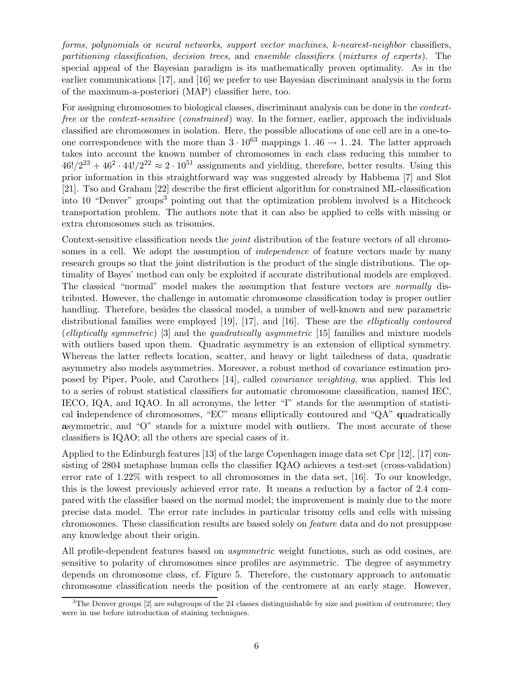forms, polynomials or neural networks, support vector machines, k-nearest-neighbor classifiers, partitioning classification, decision trees, and ensemble classifiers (mixtures of experts). The special appeal of the Bayesian paradigm is its mathematically proven optimality. As in the earlier communications [17], and [16] we prefer to use Bayesian discriminant analysis in the form of the maximum-a-posteriori (MAP) classifier here, too.

For assigning chromosomes to biological classes, discriminant analysis can be done in the contextfree or the context-sensitive (constrained) way. In the former, earlier, approach the individuals classified are chromosomes in isolation. Here, the possible allocations of one cell are in a one-toone correspondence with the more than  $3 \cdot 10^{63}$  mappings 1..46  $\rightarrow$  1..24. The latter approach takes into account the known number of chromosomes in each class reducing this number to  $46!/2^{23} + 46^2 \cdot 44!/2^{22} \approx 2 \cdot 10^{51}$  assignments and yielding, therefore, better results. Using this prior information in this straightforward way was suggested already by Habbema [7] and Slot [21]. Tso and Graham [22] describe the first efficient algorithm for constrained ML-classification into 10 "Denver" groups<sup>3</sup> pointing out that the optimization problem involved is a Hitchcock transportation problem. The authors note that it can also be applied to cells with missing or extra chromosomes such as trisomies.

Context-sensitive classification needs the *joint* distribution of the feature vectors of all chromosomes in a cell. We adopt the assumption of *independence* of feature vectors made by many research groups so that the joint distribution is the product of the single distributions. The optimality of Bayes' method can only be exploited if accurate distributional models are employed. The classical "normal" model makes the assumption that feature vectors are normally distributed. However, the challenge in automatic chromosome classification today is proper outlier handling. Therefore, besides the classical model, a number of well-known and new parametric distributional families were employed [19], [17], and [16]. These are the elliptically contoured (elliptically symmetric) [3] and the quadratically asymmetric [15] families and mixture models with outliers based upon them. Quadratic asymmetry is an extension of elliptical symmetry. Whereas the latter reflects location, scatter, and heavy or light tailedness of data, quadratic asymmetry also models asymmetries. Moreover, a robust method of covariance estimation proposed by Piper, Poole, and Carothers [14], called covariance weighting, was applied. This led to a series of robust statistical classifiers for automatic chromosome classification, named IEC, IECO, IQA, and IQAO. In all acronyms, the letter "I" stands for the assumption of statistical independence of chromosomes, "EC" means elliptically contoured and "QA" quadratically asymmetric, and "O" stands for a mixture model with outliers. The most accurate of these classifiers is IQAO; all the others are special cases of it.

Applied to the Edinburgh features [13] of the large Copenhagen image data set Cpr [12], [17] consisting of 2804 metaphase human cells the classifier IQAO achieves a test-set (cross-validation) error rate of 1.22% with respect to all chromosomes in the data set, [16]. To our knowledge, this is the lowest previously achieved error rate. It means a reduction by a factor of 2.4 compared with the classifier based on the normal model; the improvement is mainly due to the more precise data model. The error rate includes in particular trisomy cells and cells with missing chromosomes. These classification results are based solely on feature data and do not presuppose any knowledge about their origin.

All profile-dependent features based on asymmetric weight functions, such as odd cosines, are sensitive to polarity of chromosomes since profiles are asymmetric. The degree of asymmetry depends on chromosome class, cf. Figure 5. Therefore, the customary approach to automatic chromosome classification needs the position of the centromere at an early stage. However,

<sup>&</sup>lt;sup>3</sup>The Denver groups [2] are subgroups of the 24 classes distinguishable by size and position of centromere; they were in use before introduction of staining techniques.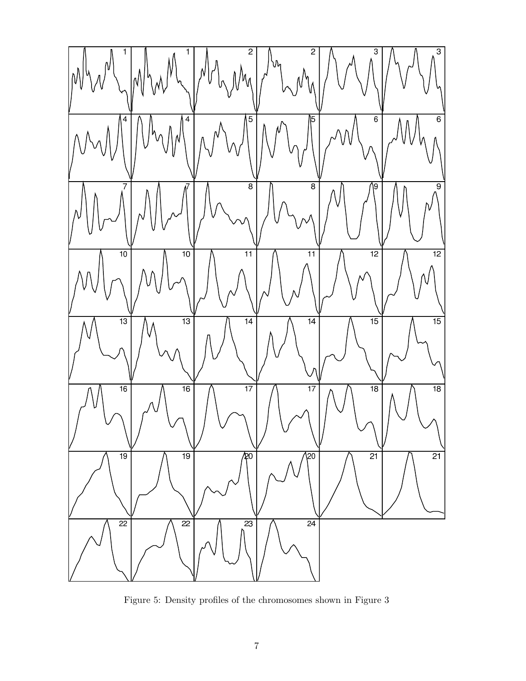

Figure 5: Density profiles of the chromosomes shown in Figure 3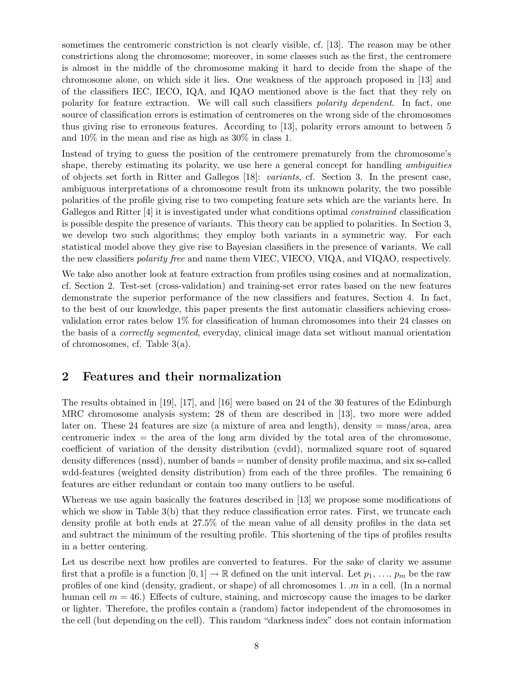sometimes the centromeric constriction is not clearly visible, cf. [13]. The reason may be other constrictions along the chromosome; moreover, in some classes such as the first, the centromere is almost in the middle of the chromosome making it hard to decide from the shape of the chromosome alone, on which side it lies. One weakness of the approach proposed in [13] and of the classifiers IEC, IECO, IQA, and IQAO mentioned above is the fact that they rely on polarity for feature extraction. We will call such classifiers polarity dependent. In fact, one source of classification errors is estimation of centromeres on the wrong side of the chromosomes thus giving rise to erroneous features. According to [13], polarity errors amount to between 5 and 10% in the mean and rise as high as 30% in class 1.

Instead of trying to guess the position of the centromere prematurely from the chromosome's shape, thereby estimating its polarity, we use here a general concept for handling *ambiguities* of objects set forth in Ritter and Gallegos [18]: variants, cf. Section 3. In the present case, ambiguous interpretations of a chromosome result from its unknown polarity, the two possible polarities of the profile giving rise to two competing feature sets which are the variants here. In Gallegos and Ritter [4] it is investigated under what conditions optimal constrained classification is possible despite the presence of variants. This theory can be applied to polarities. In Section 3, we develop two such algorithms; they employ both variants in a symmetric way. For each statistical model above they give rise to Bayesian classifiers in the presence of variants. We call the new classifiers *polarity free* and name them VIEC, VIECO, VIQA, and VIQAO, respectively.

We take also another look at feature extraction from profiles using cosines and at normalization, cf. Section 2. Test-set (cross-validation) and training-set error rates based on the new features demonstrate the superior performance of the new classifiers and features, Section 4. In fact, to the best of our knowledge, this paper presents the first automatic classifiers achieving crossvalidation error rates below 1% for classification of human chromosomes into their 24 classes on the basis of a correctly segmented, everyday, clinical image data set without manual orientation of chromosomes, cf. Table 3(a).

## 2 Features and their normalization

The results obtained in [19], [17], and [16] were based on 24 of the 30 features of the Edinburgh MRC chromosome analysis system; 28 of them are described in [13], two more were added later on. These 24 features are size (a mixture of area and length), density  $=$  mass/area, area centromeric index  $=$  the area of the long arm divided by the total area of the chromosome, coefficient of variation of the density distribution (cvdd), normalized square root of squared density differences (nssd), number of bands = number of density profile maxima, and six so-called wdd-features (weighted density distribution) from each of the three profiles. The remaining 6 features are either redundant or contain too many outliers to be useful.

Whereas we use again basically the features described in [13] we propose some modifications of which we show in Table 3(b) that they reduce classification error rates. First, we truncate each density profile at both ends at 27.5% of the mean value of all density profiles in the data set and subtract the minimum of the resulting profile. This shortening of the tips of profiles results in a better centering.

Let us describe next how profiles are converted to features. For the sake of clarity we assume first that a profile is a function  $[0, 1] \to \mathbb{R}$  defined on the unit interval. Let  $p_1, \ldots, p_m$  be the raw profiles of one kind (density, gradient, or shape) of all chromosomes  $1 \dots m$  in a cell. (In a normal human cell  $m = 46$ .) Effects of culture, staining, and microscopy cause the images to be darker or lighter. Therefore, the profiles contain a (random) factor independent of the chromosomes in the cell (but depending on the cell). This random "darkness index" does not contain information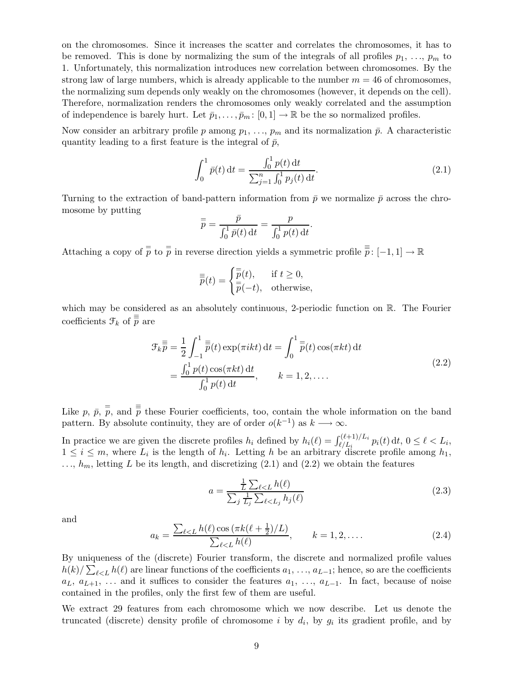on the chromosomes. Since it increases the scatter and correlates the chromosomes, it has to be removed. This is done by normalizing the sum of the integrals of all profiles  $p_1, \ldots, p_m$  to 1. Unfortunately, this normalization introduces new correlation between chromosomes. By the strong law of large numbers, which is already applicable to the number  $m = 46$  of chromosomes, the normalizing sum depends only weakly on the chromosomes (however, it depends on the cell). Therefore, normalization renders the chromosomes only weakly correlated and the assumption of independence is barely hurt. Let  $\bar{p}_1, \ldots, \bar{p}_m : [0,1] \to \mathbb{R}$  be the so normalized profiles.

Now consider an arbitrary profile p among  $p_1, \ldots, p_m$  and its normalization  $\bar{p}$ . A characteristic quantity leading to a first feature is the integral of  $\bar{p}$ ,

$$
\int_0^1 \bar{p}(t) dt = \frac{\int_0^1 p(t) dt}{\sum_{j=1}^n \int_0^1 p_j(t) dt}.
$$
\n(2.1)

Turning to the extraction of band-pattern information from  $\bar{p}$  we normalize  $\bar{p}$  across the chromosome by putting

$$
\overline{\overline{p}} = \frac{\overline{p}}{\int_0^1 \overline{p}(t) dt} = \frac{p}{\int_0^1 p(t) dt}.
$$

Attaching a copy of  $\frac{1}{p}$  to  $\frac{1}{p}$  in reverse direction yields a symmetric profile  $\frac{1}{p}$ :  $[-1,1] \to \mathbb{R}$ 

$$
\overline{\overline{\overline{p}}}(t) = \begin{cases} \overline{\overline{p}}(t), & \text{if } t \ge 0, \\ \overline{\overline{p}}(-t), & \text{otherwise,} \end{cases}
$$

which may be considered as an absolutely continuous, 2-periodic function on R. The Fourier coefficients  $\mathfrak{F}_k$  of  $\overline{\overline{p}}$  are

$$
\mathcal{F}_k \overline{\overline{p}} = \frac{1}{2} \int_{-1}^1 \overline{\overline{p}}(t) \exp(\pi ikt) dt = \int_0^1 \overline{\overline{p}}(t) \cos(\pi kt) dt
$$
  
= 
$$
\frac{\int_0^1 p(t) \cos(\pi kt) dt}{\int_0^1 p(t) dt}, \qquad k = 1, 2, ....
$$
 (2.2)

Like p,  $\bar{p}$ ,  $\bar{p}$ , and  $\bar{p}$  these Fourier coefficients, too, contain the whole information on the band pattern. By absolute continuity, they are of order  $o(k^{-1})$  as  $k \longrightarrow \infty$ .

In practice we are given the discrete profiles  $h_i$  defined by  $h_i(\ell) = \int_{\ell/L_i}^{(\ell+1)/L_i} p_i(t) dt$ ,  $0 \leq \ell < L_i$ ,  $1 \leq i \leq m$ , where  $L_i$  is the length of  $h_i$ . Letting h be an arbitrary discrete profile among  $h_1$ ,  $..., h_m$ , letting L be its length, and discretizing (2.1) and (2.2) we obtain the features

$$
a = \frac{\frac{1}{L} \sum_{\ell < L} h(\ell)}{\sum_{j} \frac{1}{L_j} \sum_{\ell < L_j} h_j(\ell)}\tag{2.3}
$$

and

$$
a_k = \frac{\sum_{\ell < L} h(\ell) \cos(\pi k (\ell + \frac{1}{2})/L)}{\sum_{\ell < L} h(\ell)}, \qquad k = 1, 2, \dots \tag{2.4}
$$

By uniqueness of the (discrete) Fourier transform, the discrete and normalized profile values  $h(k)/\sum_{\ell < L} h(\ell)$  are linear functions of the coefficients  $a_1, \ldots, a_{L-1}$ ; hence, so are the coefficients  $a_L, a_{L+1}, \ldots$  and it suffices to consider the features  $a_1, \ldots, a_{L-1}$ . In fact, because of noise contained in the profiles, only the first few of them are useful.

We extract 29 features from each chromosome which we now describe. Let us denote the truncated (discrete) density profile of chromosome *i* by  $d_i$ , by  $g_i$  its gradient profile, and by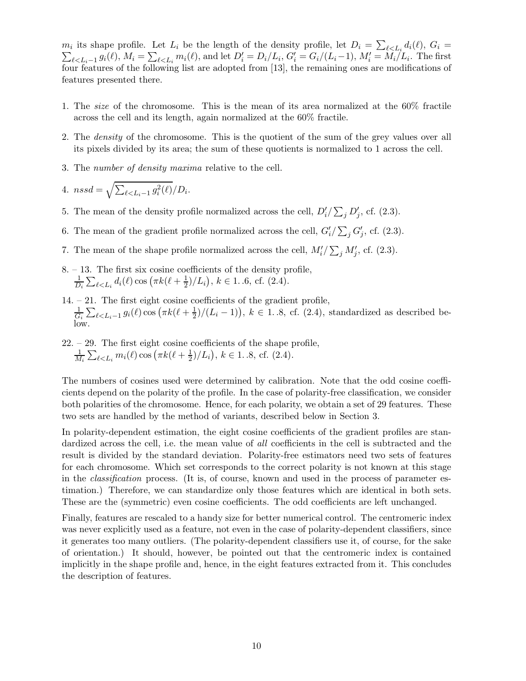$m_i$  its shape profile. Let  $L_i$  be the length of the density profile, let  $D_i = \sum_{\ell \leq L_i} d_i(\ell)$ ,  $G_i =$  $\sum_{\ell \in L_i-1} g_i(\ell), M_i = \sum_{\ell \in L_i} m_i(\ell),$  and let  $D'_i = D_i/L_i$ ,  $G'_i = G_i/(L_i-1), M'_i = M_i/L_i$ . The first four features of the following list are adopted from [13], the remaining ones are modifications of features presented there.

- 1. The size of the chromosome. This is the mean of its area normalized at the 60% fractile across the cell and its length, again normalized at the 60% fractile.
- 2. The density of the chromosome. This is the quotient of the sum of the grey values over all its pixels divided by its area; the sum of these quotients is normalized to 1 across the cell.
- 3. The number of density maxima relative to the cell.

4. 
$$
nssd = \sqrt{\sum_{\ell \le L_i-1} g_i^2(\ell)} / D_i
$$

- 5. The mean of the density profile normalized across the cell,  $D_i'/\sum_j D_j'$ , cf. (2.3).
- 6. The mean of the gradient profile normalized across the cell,  $G'_{i}/\sum_{j} G'_{j}$ , cf. (2.3).
- 7. The mean of the shape profile normalized across the cell,  $M_i'/\sum_j M_j'$ , cf. (2.3).
- 8. 13. The first six cosine coefficients of the density profile, 1  $\frac{1}{D_i}\sum_{\ell < L_i} d_i(\ell) \cos \left( \pi k(\ell + \frac{1}{2}) \right)$  $(\frac{1}{2})/L_i$ ,  $k \in 1..6$ , cf.  $(2.4)$ .

.

- 14. 21. The first eight cosine coefficients of the gradient profile, 1  $\frac{1}{G_i}\sum_{\ell\leq L_i-1}g_i(\ell)\cos\left(\pi k(\ell+\frac{1}{2})/(L_i-1)\right), k\in 1..8$ , cf. (2.4), standardized as described below.
- 22. 29. The first eight cosine coefficients of the shape profile, 1  $\frac{1}{M_i}\sum_{\ell < L_i}m_i(\ell) \cos\left(\pi k(\ell+\frac{1}{2}\right)$  $(\frac{1}{2})/L_i$ ,  $k \in 1.3$ , cf.  $(2.4)$ .

The numbers of cosines used were determined by calibration. Note that the odd cosine coefficients depend on the polarity of the profile. In the case of polarity-free classification, we consider both polarities of the chromosome. Hence, for each polarity, we obtain a set of 29 features. These two sets are handled by the method of variants, described below in Section 3.

In polarity-dependent estimation, the eight cosine coefficients of the gradient profiles are standardized across the cell, i.e. the mean value of all coefficients in the cell is subtracted and the result is divided by the standard deviation. Polarity-free estimators need two sets of features for each chromosome. Which set corresponds to the correct polarity is not known at this stage in the classification process. (It is, of course, known and used in the process of parameter estimation.) Therefore, we can standardize only those features which are identical in both sets. These are the (symmetric) even cosine coefficients. The odd coefficients are left unchanged.

Finally, features are rescaled to a handy size for better numerical control. The centromeric index was never explicitly used as a feature, not even in the case of polarity-dependent classifiers, since it generates too many outliers. (The polarity-dependent classifiers use it, of course, for the sake of orientation.) It should, however, be pointed out that the centromeric index is contained implicitly in the shape profile and, hence, in the eight features extracted from it. This concludes the description of features.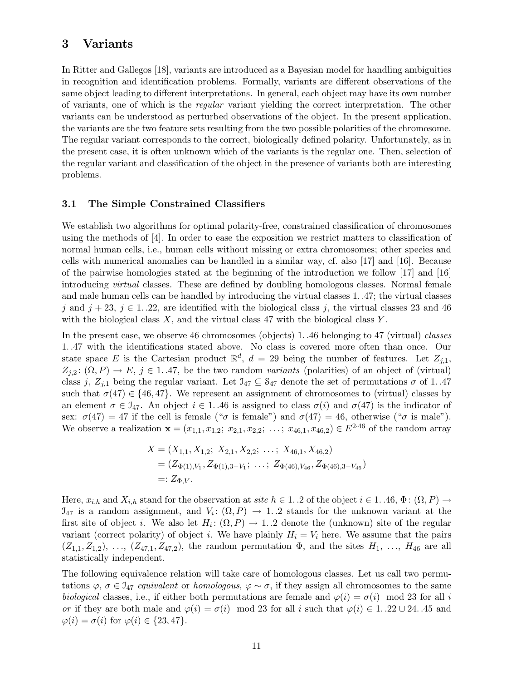### 3 Variants

In Ritter and Gallegos [18], variants are introduced as a Bayesian model for handling ambiguities in recognition and identification problems. Formally, variants are different observations of the same object leading to different interpretations. In general, each object may have its own number of variants, one of which is the regular variant yielding the correct interpretation. The other variants can be understood as perturbed observations of the object. In the present application, the variants are the two feature sets resulting from the two possible polarities of the chromosome. The regular variant corresponds to the correct, biologically defined polarity. Unfortunately, as in the present case, it is often unknown which of the variants is the regular one. Then, selection of the regular variant and classification of the object in the presence of variants both are interesting problems.

#### 3.1 The Simple Constrained Classifiers

We establish two algorithms for optimal polarity-free, constrained classification of chromosomes using the methods of [4]. In order to ease the exposition we restrict matters to classification of normal human cells, i.e., human cells without missing or extra chromosomes; other species and cells with numerical anomalies can be handled in a similar way, cf. also [17] and [16]. Because of the pairwise homologies stated at the beginning of the introduction we follow [17] and [16] introducing virtual classes. These are defined by doubling homologous classes. Normal female and male human cells can be handled by introducing the virtual classes 1. .47; the virtual classes j and  $j + 23$ ,  $j \in 1..22$ , are identified with the biological class j, the virtual classes 23 and 46 with the biological class  $X$ , and the virtual class 47 with the biological class  $Y$ .

In the present case, we observe 46 chromosomes (objects) 1. .46 belonging to 47 (virtual) classes 1. .47 with the identifications stated above. No class is covered more often than once. Our state space E is the Cartesian product  $\mathbb{R}^d$ ,  $d = 29$  being the number of features. Let  $Z_{j,1}$ ,  $Z_{i,2}$ :  $(\Omega, P) \to E$ ,  $j \in 1.47$ , be the two random variants (polarities) of an object of (virtual) class j,  $Z_{j,1}$  being the regular variant. Let  $\mathfrak{I}_{47} \subseteq \mathfrak{S}_{47}$  denote the set of permutations  $\sigma$  of 1.47 such that  $\sigma(47) \in \{46, 47\}$ . We represent an assignment of chromosomes to (virtual) classes by an element  $\sigma \in \mathfrak{I}_{47}$ . An object  $i \in 1$ . 46 is assigned to class  $\sigma(i)$  and  $\sigma(47)$  is the indicator of sex:  $\sigma(47) = 47$  if the cell is female (" $\sigma$  is female") and  $\sigma(47) = 46$ , otherwise (" $\sigma$  is male"). We observe a realization  $\mathbf{x} = (x_{1,1}, x_{1,2}; x_{2,1}, x_{2,2}; \ldots; x_{46,1}, x_{46,2}) \in E^{2.46}$  of the random array

$$
X = (X_{1,1}, X_{1,2}; X_{2,1}, X_{2,2}; \dots; X_{46,1}, X_{46,2})
$$
  
=  $(Z_{\Phi(1), V_1}, Z_{\Phi(1), 3-V_1}; \dots; Z_{\Phi(46), V_{46}}, Z_{\Phi(46), 3-V_{46}})$   
=:  $Z_{\Phi, V}$ .

Here,  $x_{i,h}$  and  $X_{i,h}$  stand for the observation at site  $h \in 1..2$  of the object  $i \in 1..46$ ,  $\Phi: (\Omega, P) \to$  $\mathfrak{I}_{47}$  is a random assignment, and  $V_i: (\Omega, P) \to 1.2$  stands for the unknown variant at the first site of object *i*. We also let  $H_i: (\Omega, P) \to 1$ . 2 denote the (unknown) site of the regular variant (correct polarity) of object i. We have plainly  $H_i = V_i$  here. We assume that the pairs  $(Z_{1,1}, Z_{1,2}), \ldots, (Z_{47,1}, Z_{47,2}),$  the random permutation  $\Phi$ , and the sites  $H_1, \ldots, H_{46}$  are all statistically independent.

The following equivalence relation will take care of homologous classes. Let us call two permutations  $\varphi, \sigma \in \mathcal{I}_{47}$  equivalent or homologous,  $\varphi \sim \sigma$ , if they assign all chromosomes to the same biological classes, i.e., if either both permutations are female and  $\varphi(i) = \sigma(i) \mod 23$  for all i or if they are both male and  $\varphi(i) = \sigma(i) \mod 23$  for all i such that  $\varphi(i) \in 1..22 \cup 24..45$  and  $\varphi(i) = \sigma(i)$  for  $\varphi(i) \in \{23, 47\}.$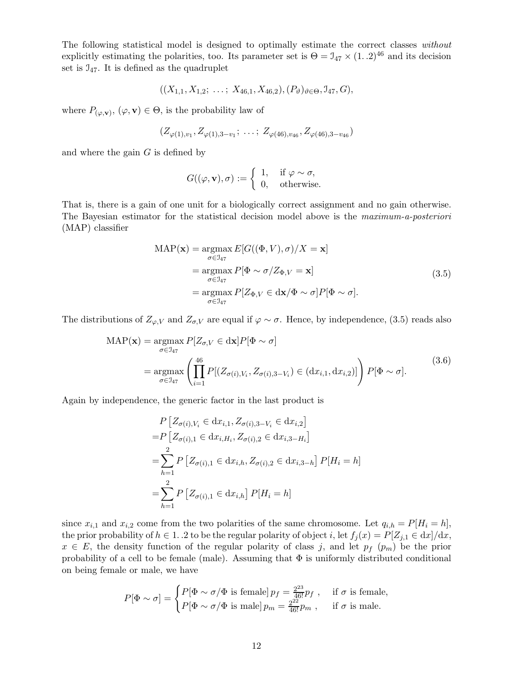The following statistical model is designed to optimally estimate the correct classes without explicitly estimating the polarities, too. Its parameter set is  $\Theta = \mathcal{I}_{47} \times (1..2)^{46}$  and its decision set is  $J_{47}$ . It is defined as the quadruplet

$$
((X_{1,1}, X_{1,2}; \ldots; X_{46,1}, X_{46,2}), (P_{\vartheta})_{\vartheta \in \Theta}, \mathcal{I}_{47}, G),
$$

where  $P_{(\varphi,\mathbf{v})}, (\varphi, \mathbf{v}) \in \Theta$ , is the probability law of

$$
(Z_{\varphi(1),v_1}, Z_{\varphi(1),3-v_1}; \ldots; Z_{\varphi(46),v_{46}}, Z_{\varphi(46),3-v_{46}})
$$

and where the gain  $G$  is defined by

$$
G((\varphi, \mathbf{v}), \sigma) := \begin{cases} 1, & \text{if } \varphi \sim \sigma, \\ 0, & \text{otherwise.} \end{cases}
$$

That is, there is a gain of one unit for a biologically correct assignment and no gain otherwise. The Bayesian estimator for the statistical decision model above is the maximum-a-posteriori (MAP) classifier

$$
MAP(\mathbf{x}) = \underset{\sigma \in \mathcal{I}_{47}}{\operatorname{argmax}} E[G((\Phi, V), \sigma)/X = \mathbf{x}]
$$
  
= 
$$
\underset{\sigma \in \mathcal{I}_{47}}{\operatorname{argmax}} P[\Phi \sim \sigma/Z_{\Phi, V} = \mathbf{x}]
$$
  
= 
$$
\underset{\sigma \in \mathcal{I}_{47}}{\operatorname{argmax}} P[Z_{\Phi, V} \in dx/\Phi \sim \sigma] P[\Phi \sim \sigma].
$$
 (3.5)

The distributions of  $Z_{\varphi,V}$  and  $Z_{\sigma,V}$  are equal if  $\varphi \sim \sigma$ . Hence, by independence, (3.5) reads also

$$
MAP(\mathbf{x}) = \underset{\sigma \in \mathcal{I}_{47}}{\operatorname{argmax}} P[Z_{\sigma,V} \in dx] P[\Phi \sim \sigma]
$$
  
= 
$$
\underset{\sigma \in \mathcal{I}_{47}}{\operatorname{argmax}} \left( \prod_{i=1}^{46} P[(Z_{\sigma(i),V_i}, Z_{\sigma(i),3-V_i}) \in (dx_{i,1}, dx_{i,2})] \right) P[\Phi \sim \sigma].
$$
 (3.6)

Again by independence, the generic factor in the last product is

$$
P\left[Z_{\sigma(i),V_i} \in dx_{i,1}, Z_{\sigma(i),3-V_i} \in dx_{i,2}\right]
$$
  
= $P\left[Z_{\sigma(i),1} \in dx_{i,H_i}, Z_{\sigma(i),2} \in dx_{i,3-H_i}\right]$   
= $\sum_{h=1}^{2} P\left[Z_{\sigma(i),1} \in dx_{i,h}, Z_{\sigma(i),2} \in dx_{i,3-h}\right] P[H_i = h]$   
= $\sum_{h=1}^{2} P\left[Z_{\sigma(i),1} \in dx_{i,h}\right] P[H_i = h]$ 

since  $x_{i,1}$  and  $x_{i,2}$  come from the two polarities of the same chromosome. Let  $q_{i,h} = P[H_i = h],$ the prior probability of  $h \in 1$ . 2 to be the regular polarity of object i, let  $f_j(x) = P[Z_{j,1} \in dx]/dx$ ,  $x \in E$ , the density function of the regular polarity of class j, and let  $p_f$  ( $p_m$ ) be the prior probability of a cell to be female (male). Assuming that  $\Phi$  is uniformly distributed conditional on being female or male, we have

$$
P[\Phi \sim \sigma] = \begin{cases} P[\Phi \sim \sigma/\Phi \text{ is female}] p_f = \frac{2^{23}}{46!} p_f , & \text{if } \sigma \text{ is female,} \\ P[\Phi \sim \sigma/\Phi \text{ is male}] p_m = \frac{2^{22}}{46!} p_m , & \text{if } \sigma \text{ is male.} \end{cases}
$$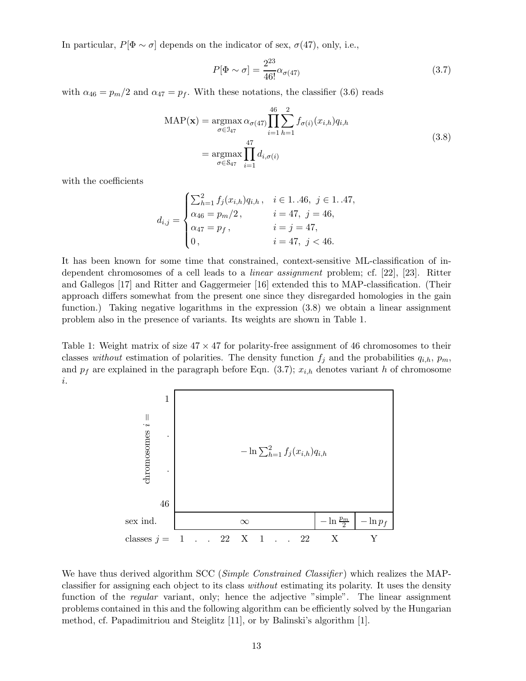In particular,  $P[\Phi \sim \sigma]$  depends on the indicator of sex,  $\sigma$ (47), only, i.e.,

$$
P[\Phi \sim \sigma] = \frac{2^{23}}{46!} \alpha_{\sigma(47)} \tag{3.7}
$$

with  $\alpha_{46} = p_m/2$  and  $\alpha_{47} = p_f$ . With these notations, the classifier (3.6) reads

$$
MAP(\mathbf{x}) = \underset{\sigma \in \mathcal{I}_{47}}{\operatorname{argmax}} \alpha_{\sigma(47)} \prod_{i=1}^{46} \sum_{h=1}^{2} f_{\sigma(i)}(x_{i,h}) q_{i,h}
$$

$$
= \underset{\sigma \in \mathcal{S}_{47}}{\operatorname{argmax}} \prod_{i=1}^{47} d_{i,\sigma(i)} \tag{3.8}
$$

with the coefficients

$$
d_{i,j} = \begin{cases} \sum_{h=1}^{2} f_j(x_{i,h}) q_{i,h}, & i \in 1..46, j \in 1..47, \\ \alpha_{46} = p_m/2, & i = 47, j = 46, \\ \alpha_{47} = p_f, & i = j = 47, \\ 0, & i = 47, j < 46. \end{cases}
$$

It has been known for some time that constrained, context-sensitive ML-classification of independent chromosomes of a cell leads to a linear assignment problem; cf. [22], [23]. Ritter and Gallegos [17] and Ritter and Gaggermeier [16] extended this to MAP-classification. (Their approach differs somewhat from the present one since they disregarded homologies in the gain function.) Taking negative logarithms in the expression (3.8) we obtain a linear assignment problem also in the presence of variants. Its weights are shown in Table 1.

Table 1: Weight matrix of size  $47 \times 47$  for polarity-free assignment of 46 chromosomes to their classes without estimation of polarities. The density function  $f_j$  and the probabilities  $q_{i,h}$ ,  $p_m$ , and  $p_f$  are explained in the paragraph before Eqn. (3.7);  $x_{i,h}$  denotes variant h of chromosome i.



We have thus derived algorithm SCC (Simple Constrained Classifier) which realizes the MAPclassifier for assigning each object to its class without estimating its polarity. It uses the density function of the *regular* variant, only; hence the adjective "simple". The linear assignment problems contained in this and the following algorithm can be efficiently solved by the Hungarian method, cf. Papadimitriou and Steiglitz [11], or by Balinski's algorithm [1].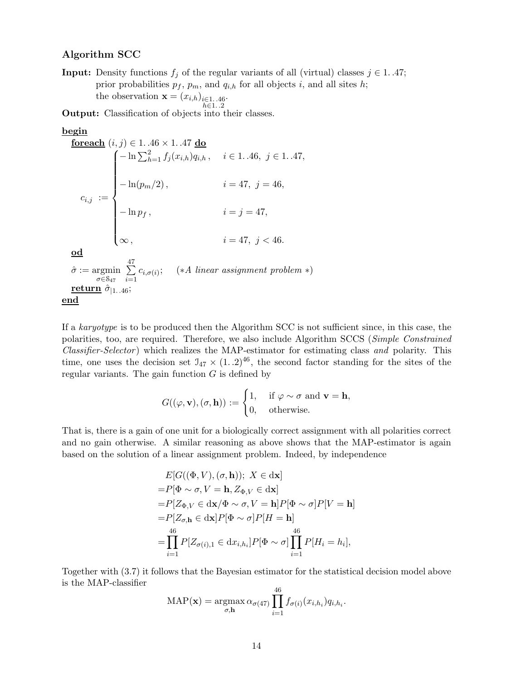#### Algorithm SCC

**Input:** Density functions  $f_i$  of the regular variants of all (virtual) classes  $j \in 1..47$ ; prior probabilities  $p_f$ ,  $p_m$ , and  $q_{i,h}$  for all objects i, and all sites h; the observation  $\mathbf{x} = (x_{i,h})_{i \in 1..46}$ .  $h \in 1..2$ 

Output: Classification of objects into their classes.

#### begin

**forceach** 
$$
(i, j) \in 1..46 \times 1..47
$$
 **do**  
\n
$$
c_{i,j} := \begin{cases}\n-\ln \sum_{h=1}^{2} f_j(x_{i,h}) q_{i,h}, & i \in 1..46, j \in 1..47, \\
-\ln(p_m/2), & i = 47, j = 46, \\
-\ln p_f, & i = j = 47,\n\end{cases}
$$
\n**od**  
\n $\hat{\sigma} := \underset{\sigma \in S_{47}}{\text{argmin}} \sum_{i=1}^{47} c_{i,\sigma(i)}; \quad (*A \text{ linear assignment problem *)}$   
\n**return**  $\hat{\sigma}_{|1..46};$   
\n**end**

If a karyotype is to be produced then the Algorithm SCC is not sufficient since, in this case, the polarities, too, are required. Therefore, we also include Algorithm SCCS (Simple Constrained Classifier-Selector) which realizes the MAP-estimator for estimating class and polarity. This time, one uses the decision set  $\mathfrak{I}_{47} \times (1.2)^{46}$ , the second factor standing for the sites of the regular variants. The gain function  $G$  is defined by

$$
G((\varphi, \mathbf{v}), (\sigma, \mathbf{h})) := \begin{cases} 1, & \text{if } \varphi \sim \sigma \text{ and } \mathbf{v} = \mathbf{h}, \\ 0, & \text{otherwise.} \end{cases}
$$

That is, there is a gain of one unit for a biologically correct assignment with all polarities correct and no gain otherwise. A similar reasoning as above shows that the MAP-estimator is again based on the solution of a linear assignment problem. Indeed, by independence

$$
E[G((\Phi, V), (\sigma, \mathbf{h})); X \in \text{dx}]
$$
  
=  $P[\Phi \sim \sigma, V = \mathbf{h}, Z_{\Phi, V} \in \text{dx}]$   
=  $P[Z_{\Phi, V} \in \text{dx}/\Phi \sim \sigma, V = \mathbf{h}] P[\Phi \sim \sigma] P[V = \mathbf{h}]$   
=  $P[Z_{\sigma, \mathbf{h}} \in \text{dx}] P[\Phi \sim \sigma] P[H = \mathbf{h}]$   
=  $\prod_{i=1}^{46} P[Z_{\sigma(i), 1} \in \text{d}x_{i, h_i}] P[\Phi \sim \sigma] \prod_{i=1}^{46} P[H_i = h_i],$ 

Together with (3.7) it follows that the Bayesian estimator for the statistical decision model above is the MAP-classifier 46

$$
\text{MAP}(\mathbf{x}) = \operatorname*{argmax}_{\sigma, \mathbf{h}} \alpha_{\sigma(47)} \prod_{i=1}^{40} f_{\sigma(i)}(x_{i,h_i}) q_{i,h_i}.
$$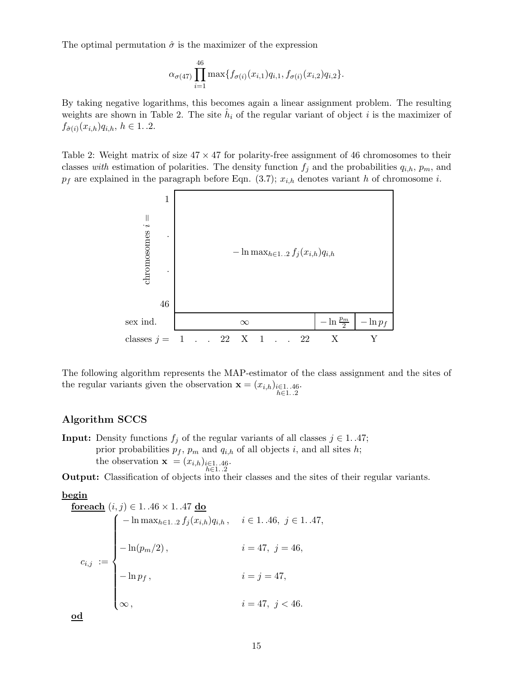The optimal permutation  $\hat{\sigma}$  is the maximizer of the expression

$$
\alpha_{\sigma(47)} \prod_{i=1}^{46} \max\{f_{\sigma(i)}(x_{i,1})q_{i,1}, f_{\sigma(i)}(x_{i,2})q_{i,2}\}.
$$

By taking negative logarithms, this becomes again a linear assignment problem. The resulting weights are shown in Table 2. The site  $\hat{h}_i$  of the regular variant of object i is the maximizer of  $f_{\hat{\sigma}(i)}(x_{i,h})q_{i,h},\,h\in{1..2}.$ 

Table 2: Weight matrix of size  $47 \times 47$  for polarity-free assignment of 46 chromosomes to their classes with estimation of polarities. The density function  $f_j$  and the probabilities  $q_{i,h}$ ,  $p_m$ , and  $p_f$  are explained in the paragraph before Eqn. (3.7);  $x_{i,h}$  denotes variant h of chromosome i.



The following algorithm represents the MAP-estimator of the class assignment and the sites of the regular variants given the observation  $\mathbf{x} = (x_{i,h})_{\substack{i \in 1..46 \ i \in 1..2}}$ 

#### Algorithm SCCS

**Input:** Density functions  $f_j$  of the regular variants of all classes  $j \in 1..47$ ; prior probabilities  $p_f$ ,  $p_m$  and  $q_{i,h}$  of all objects i, and all sites h; the observation  $\mathbf{x} = (x_{i,h})_{\substack{i \in 1..46 \cdot}}$ <br> $h \in 1..2$ 

Output: Classification of objects into their classes and the sites of their regular variants.

begin

**forceach** 
$$
(i, j) \in 1..46 \times 1..47
$$
 **do**

\n
$$
\begin{cases}\n-\ln \max_{h \in 1..2} f_j(x_{i,h}) q_{i,h}, & i \in 1..46, j \in 1..47, \\
-\ln(p_m/2), & i = 47, j = 46, \\
-\ln p_f, & i = j = 47, \\
\infty, & i = 47, j < 46.\n\end{cases}
$$

od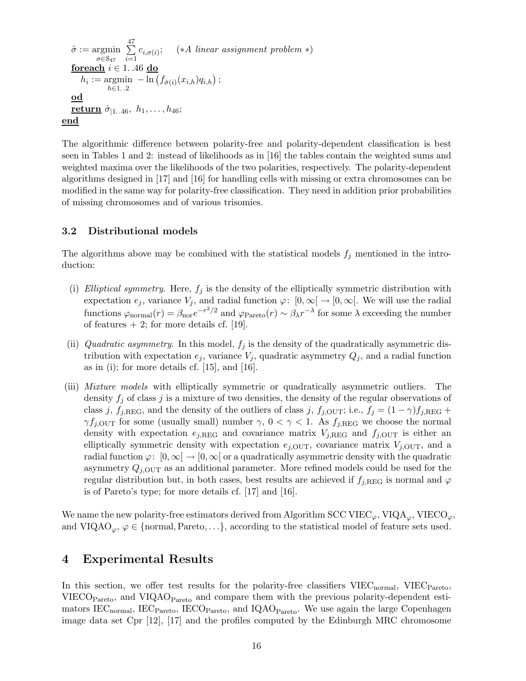$$
\hat{\sigma} := \underset{\sigma \in \mathcal{S}_{47}}{\operatorname{argmin}} \sum_{i=1}^{47} c_{i,\sigma(i)}; \quad (*A \text{ linear assignment problem *)}
$$
\nforecast  $i \in 1..46$  do  
\n
$$
h_i := \underset{h \in 1..2}{\operatorname{argmin}} - \ln(f_{\hat{\sigma}(i)}(x_{i,h})q_{i,h});
$$
\nod  
\nreturn  $\hat{\sigma}_{|1..46}, h_1, ..., h_{46};$   
\nend

The algorithmic difference between polarity-free and polarity-dependent classification is best seen in Tables 1 and 2: instead of likelihoods as in [16] the tables contain the weighted sums and weighted maxima over the likelihoods of the two polarities, respectively. The polarity-dependent algorithms designed in [17] and [16] for handling cells with missing or extra chromosomes can be modified in the same way for polarity-free classification. They need in addition prior probabilities of missing chromosomes and of various trisomies.

### 3.2 Distributional models

The algorithms above may be combined with the statistical models  $f_j$  mentioned in the introduction:

- (i) Elliptical symmetry. Here,  $f_i$  is the density of the elliptically symmetric distribution with expectation  $e_j$ , variance  $V_j$ , and radial function  $\varphi: [0,\infty[ \rightarrow [0,\infty[$ . We will use the radial functions  $\varphi_{\text{normal}}(r) = \beta_{\text{nor}} e^{-r^2/2}$  and  $\varphi_{\text{Pareto}}(r) \sim \beta_{\lambda} r^{-\lambda}$  for some  $\lambda$  exceeding the number of features  $+2$ ; for more details cf. [19].
- (ii) Quadratic asymmetry. In this model,  $f_j$  is the density of the quadratically asymmetric distribution with expectation  $e_j$ , variance  $V_j$ , quadratic asymmetry  $Q_j$ , and a radial function as in (i); for more details cf.  $[15]$ , and  $[16]$ .
- (iii) Mixture models with elliptically symmetric or quadratically asymmetric outliers. The density  $f_j$  of class j is a mixture of two densities, the density of the regular observations of class j,  $f_{j,\text{REG}}$ , and the density of the outliers of class j,  $f_{j,\text{OUT}}$ ; i.e.,  $f_j = (1 - \gamma)f_{j,\text{REG}} +$  $\gamma f_{j,\text{OUT}}$  for some (usually small) number  $\gamma$ ,  $0 < \gamma < 1$ . As  $f_{j,\text{REG}}$  we choose the normal density with expectation  $e_{j,\text{REG}}$  and covariance matrix  $V_{j,\text{REG}}$  and  $f_{j,\text{OUT}}$  is either an elliptically symmetric density with expectation  $e_{j,\text{OUT}}$ , covariance matrix  $V_{j,\text{OUT}}$ , and a radial function  $\varphi: [0,\infty] \to [0,\infty]$  or a quadratically asymmetric density with the quadratic asymmetry  $Q_{i,\text{OUT}}$  as an additional parameter. More refined models could be used for the regular distribution but, in both cases, best results are achieved if  $f_{j,REG}$  is normal and  $\varphi$ is of Pareto's type; for more details cf. [17] and [16].

We name the new polarity-free estimators derived from Algorithm SCC VIEC<sub> $\varphi$ </sub>, VIQA<sub> $\varphi$ </sub>, VIECO<sub> $\varphi$ </sub>, and VIQAO<sub> $\varphi$ </sub>,  $\varphi \in \{\text{normal},\text{Pareto},\ldots\},$  according to the statistical model of feature sets used.

### 4 Experimental Results

In this section, we offer test results for the polarity-free classifiers  $VIEC_{normal}$ ,  $VIEC_{Pareto}$ , VIECO $_{\text{Pareto}}$ , and VIQAO $_{\text{Pareto}}$  and compare them with the previous polarity-dependent estimators  $\text{IEC}_{\text{normal}}$ ,  $\text{IEC}_{\text{Pareto}}$ ,  $\text{IECO}_{\text{Pareto}}$ , and  $\text{IQAO}_{\text{Pareto}}$ . We use again the large Copenhagen image data set Cpr [12], [17] and the profiles computed by the Edinburgh MRC chromosome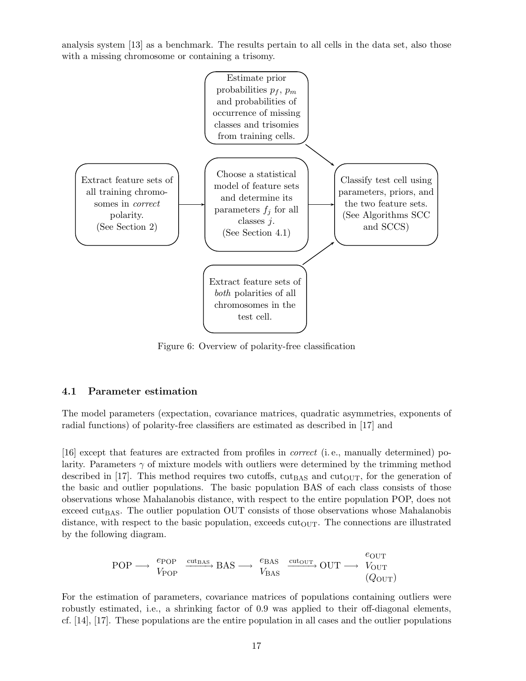analysis system [13] as a benchmark. The results pertain to all cells in the data set, also those with a missing chromosome or containing a trisomy.



Figure 6: Overview of polarity-free classification

#### 4.1 Parameter estimation

The model parameters (expectation, covariance matrices, quadratic asymmetries, exponents of radial functions) of polarity-free classifiers are estimated as described in [17] and

[16] except that features are extracted from profiles in correct (i. e., manually determined) polarity. Parameters  $\gamma$  of mixture models with outliers were determined by the trimming method described in [17]. This method requires two cutoffs,  $\text{cut}_{\text{BAS}}$  and  $\text{cut}_{\text{OUT}}$ , for the generation of the basic and outlier populations. The basic population BAS of each class consists of those observations whose Mahalanobis distance, with respect to the entire population POP, does not exceed cut $_{\text{BAS}}$ . The outlier population OUT consists of those observations whose Mahalanobis distance, with respect to the basic population, exceeds  $\text{cut}_{\text{OUT}}$ . The connections are illustrated by the following diagram.

$$
\text{POP} \longrightarrow \begin{array}{c} e_{\text{POP}} \\ V_{\text{POP}} \end{array} \xrightarrow{\text{cut}_{\text{BAS}}} \text{BAS} \longrightarrow \begin{array}{c} e_{\text{BAS}} \\ V_{\text{BAS}} \end{array} \xrightarrow{\text{cut}_{\text{OUT}}} \text{OUT} \longrightarrow \begin{array}{c} e_{\text{OUT}} \\ V_{\text{OUT}} \end{array} \tag{Quot}
$$

For the estimation of parameters, covariance matrices of populations containing outliers were robustly estimated, i.e., a shrinking factor of 0.9 was applied to their off-diagonal elements, cf. [14], [17]. These populations are the entire population in all cases and the outlier populations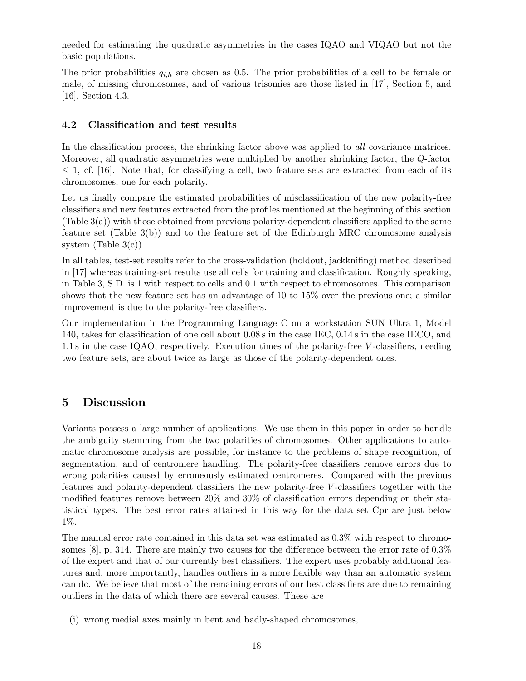needed for estimating the quadratic asymmetries in the cases IQAO and VIQAO but not the basic populations.

The prior probabilities  $q_{i,h}$  are chosen as 0.5. The prior probabilities of a cell to be female or male, of missing chromosomes, and of various trisomies are those listed in [17], Section 5, and [16], Section 4.3.

#### 4.2 Classification and test results

In the classification process, the shrinking factor above was applied to *all* covariance matrices. Moreover, all quadratic asymmetries were multiplied by another shrinking factor, the Q-factor  $\leq$  1, cf. [16]. Note that, for classifying a cell, two feature sets are extracted from each of its chromosomes, one for each polarity.

Let us finally compare the estimated probabilities of misclassification of the new polarity-free classifiers and new features extracted from the profiles mentioned at the beginning of this section (Table 3(a)) with those obtained from previous polarity-dependent classifiers applied to the same feature set (Table 3(b)) and to the feature set of the Edinburgh MRC chromosome analysis system (Table  $3(c)$ ).

In all tables, test-set results refer to the cross-validation (holdout, jackknifing) method described in [17] whereas training-set results use all cells for training and classification. Roughly speaking, in Table 3, S.D. is 1 with respect to cells and 0.1 with respect to chromosomes. This comparison shows that the new feature set has an advantage of 10 to 15% over the previous one; a similar improvement is due to the polarity-free classifiers.

Our implementation in the Programming Language C on a workstation SUN Ultra 1, Model 140, takes for classification of one cell about 0.08 s in the case IEC, 0.14 s in the case IECO, and 1.1 s in the case IQAO, respectively. Execution times of the polarity-free V -classifiers, needing two feature sets, are about twice as large as those of the polarity-dependent ones.

## 5 Discussion

Variants possess a large number of applications. We use them in this paper in order to handle the ambiguity stemming from the two polarities of chromosomes. Other applications to automatic chromosome analysis are possible, for instance to the problems of shape recognition, of segmentation, and of centromere handling. The polarity-free classifiers remove errors due to wrong polarities caused by erroneously estimated centromeres. Compared with the previous features and polarity-dependent classifiers the new polarity-free V -classifiers together with the modified features remove between 20% and 30% of classification errors depending on their statistical types. The best error rates attained in this way for the data set Cpr are just below 1%.

The manual error rate contained in this data set was estimated as 0.3% with respect to chromosomes  $[8]$ , p. 314. There are mainly two causes for the difference between the error rate of  $0.3\%$ of the expert and that of our currently best classifiers. The expert uses probably additional features and, more importantly, handles outliers in a more flexible way than an automatic system can do. We believe that most of the remaining errors of our best classifiers are due to remaining outliers in the data of which there are several causes. These are

(i) wrong medial axes mainly in bent and badly-shaped chromosomes,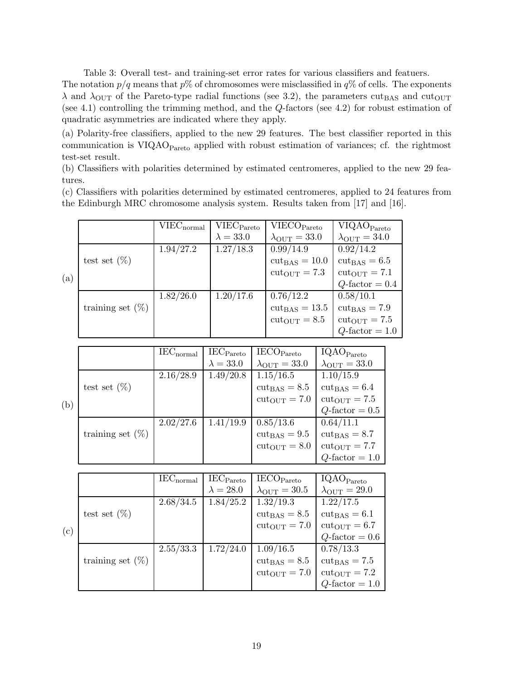Table 3: Overall test- and training-set error rates for various classifiers and featuers.

The notation  $p/q$  means that  $p\%$  of chromosomes were misclassified in  $q\%$  of cells. The exponents  $\lambda$  and  $\lambda_{\text{OUT}}$  of the Pareto-type radial functions (see 3.2), the parameters cut<sub>BAS</sub> and cut<sub>OUT</sub> (see 4.1) controlling the trimming method, and the Q-factors (see 4.2) for robust estimation of quadratic asymmetries are indicated where they apply.

(a) Polarity-free classifiers, applied to the new 29 features. The best classifier reported in this communication is  $VIQAO<sub>Pareto</sub>$  applied with robust estimation of variances; cf. the rightmost test-set result.

(b) Classifiers with polarities determined by estimated centromeres, applied to the new 29 features.

(c) Classifiers with polarities determined by estimated centromeres, applied to 24 features from the Edinburgh MRC chromosome analysis system. Results taken from [17] and [16].

|     |                     | $VIEC_{normal}$ | VIEC <sub>Pareto</sub> | VIECO <sub>Pareto</sub>          | VIQAO <sub>Pareto</sub>         |
|-----|---------------------|-----------------|------------------------|----------------------------------|---------------------------------|
|     |                     |                 | $\lambda = 33.0$       | $\lambda_{\text{OUT}} = 33.0$    | $\lambda_{\text{OUT}} = 34.0$   |
|     |                     | 1.94/27.2       | 1.27/18.3              | 0.99/14.9                        | 0.92/14.2                       |
|     | test set $(\%)$     |                 |                        | $\text{cut}_{\text{BAS}} = 10.0$ | $\text{cut}_{\text{BAS}} = 6.5$ |
| (a) |                     |                 |                        | $cut_{\text{OUT}} = 7.3$         | $cut_{\text{OUT}} = 7.1$        |
|     |                     |                 |                        |                                  | $Q$ -factor = 0.4               |
|     |                     | 1.82/26.0       | 1.20/17.6              | 0.76/12.2                        | 0.58/10.1                       |
|     | training set $(\%)$ |                 |                        | $\text{cut}_{\text{BAS}} = 13.5$ | $\text{cut}_{\text{BAS}} = 7.9$ |
|     |                     |                 |                        | $cut_{\rm OUT}=8.5$              | $cut_{OUT} = 7.5$               |
|     |                     |                 |                        |                                  | $Q$ -factor = 1.0               |

|     |                     | $IEC_{normal}$ | $IEC_{Pareto}$   | IECO <sub>Pareto</sub>          | IQAO <sub>Pareto</sub>          |
|-----|---------------------|----------------|------------------|---------------------------------|---------------------------------|
|     |                     |                | $\lambda = 33.0$ | $\lambda_{\text{OUT}} = 33.0$   | $\lambda_{\text{OUT}} = 33.0$   |
|     |                     | 2.16/28.9      | 1.49/20.8        | 1.15/16.5                       | 1.10/15.9                       |
|     | test set $(\%)$     |                |                  | $\text{cut}_{\text{BAS}} = 8.5$ | $\text{cut}_{\text{BAS}} = 6.4$ |
| (b) |                     |                |                  | $cut_{\text{OUT}} = 7.0$        | $cut_{OUT} = 7.5$               |
|     |                     |                |                  |                                 | $Q$ -factor = 0.5               |
|     |                     | 2.02/27.6      | 1.41/19.9        | 0.85/13.6                       | 0.64/11.1                       |
|     | training set $(\%)$ |                |                  | $cutBAS = 9.5$                  | $\text{cut}_{\text{BAS}} = 8.7$ |
|     |                     |                |                  | $cut_{OUT} = 8.0$               | $cut_{OUT} = 7.7$               |
|     |                     |                |                  |                                 | $Q$ -factor = 1.0               |

|     |                     | $IEC_{normal}$ | $IEC_{Pareto}$   | IECO <sub>Pareto</sub>          | IQAO <sub>Pareto</sub>        |
|-----|---------------------|----------------|------------------|---------------------------------|-------------------------------|
|     |                     |                | $\lambda = 28.0$ | $\lambda_{\text{OUT}} = 30.5$   | $\lambda_{\text{OUT}} = 29.0$ |
|     |                     | 2.68/34.5      | 1.84/25.2        | 1.32/19.3                       | 1.22/17.5                     |
|     | test set $(\%)$     |                |                  | $\text{cut}_{\text{BAS}} = 8.5$ | $cut_{BAS} = 6.1$             |
| (c) |                     |                |                  | $cut_{OUT} = 7.0$               | $cut_{\rm OUT}=6.7$           |
|     |                     |                |                  |                                 | $Q$ -factor = 0.6             |
|     |                     | 2.55/33.3      | 1.72/24.0        | 1.09/16.5                       | 0.78/13.3                     |
|     | training set $(\%)$ |                |                  | $\text{cut}_{\text{BAS}} = 8.5$ | $cutBAS = 7.5$                |
|     |                     |                |                  | $cut_{\text{OUT}} = 7.0$        | $cut_{\text{OUT}} = 7.2$      |
|     |                     |                |                  |                                 | $Q$ -factor = 1.0             |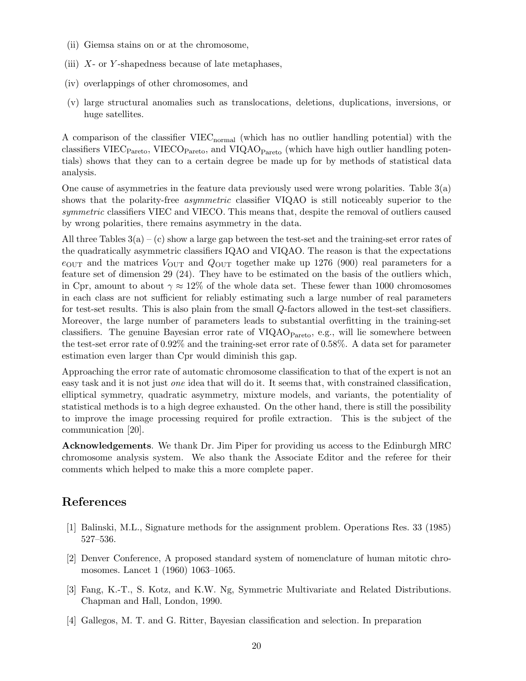- (ii) Giemsa stains on or at the chromosome,
- (iii)  $X$  or Y-shapedness because of late metaphases,
- (iv) overlappings of other chromosomes, and
- (v) large structural anomalies such as translocations, deletions, duplications, inversions, or huge satellites.

A comparison of the classifier VIEC<sub>normal</sub> (which has no outlier handling potential) with the classifiers VIEC<sub>Pareto</sub>, VIECO<sub>Pareto</sub>, and VIQAO<sub>Pareto</sub> (which have high outlier handling potentials) shows that they can to a certain degree be made up for by methods of statistical data analysis.

One cause of asymmetries in the feature data previously used were wrong polarities. Table 3(a) shows that the polarity-free asymmetric classifier VIQAO is still noticeably superior to the symmetric classifiers VIEC and VIECO. This means that, despite the removal of outliers caused by wrong polarities, there remains asymmetry in the data.

All three Tables  $3(a) - (c)$  show a large gap between the test-set and the training-set error rates of the quadratically asymmetric classifiers IQAO and VIQAO. The reason is that the expectations  $e_{\text{OUT}}$  and the matrices  $V_{\text{OUT}}$  and  $Q_{\text{OUT}}$  together make up 1276 (900) real parameters for a feature set of dimension 29 (24). They have to be estimated on the basis of the outliers which, in Cpr, amount to about  $\gamma \approx 12\%$  of the whole data set. These fewer than 1000 chromosomes in each class are not sufficient for reliably estimating such a large number of real parameters for test-set results. This is also plain from the small Q-factors allowed in the test-set classifiers. Moreover, the large number of parameters leads to substantial overfitting in the training-set classifiers. The genuine Bayesian error rate of  $VIQAO<sub>Pareto</sub>$ , e.g., will lie somewhere between the test-set error rate of 0.92% and the training-set error rate of 0.58%. A data set for parameter estimation even larger than Cpr would diminish this gap.

Approaching the error rate of automatic chromosome classification to that of the expert is not an easy task and it is not just one idea that will do it. It seems that, with constrained classification, elliptical symmetry, quadratic asymmetry, mixture models, and variants, the potentiality of statistical methods is to a high degree exhausted. On the other hand, there is still the possibility to improve the image processing required for profile extraction. This is the subject of the communication [20].

Acknowledgements. We thank Dr. Jim Piper for providing us access to the Edinburgh MRC chromosome analysis system. We also thank the Associate Editor and the referee for their comments which helped to make this a more complete paper.

### References

- [1] Balinski, M.L., Signature methods for the assignment problem. Operations Res. 33 (1985) 527–536.
- [2] Denver Conference, A proposed standard system of nomenclature of human mitotic chromosomes. Lancet 1 (1960) 1063–1065.
- [3] Fang, K.-T., S. Kotz, and K.W. Ng, Symmetric Multivariate and Related Distributions. Chapman and Hall, London, 1990.
- [4] Gallegos, M. T. and G. Ritter, Bayesian classification and selection. In preparation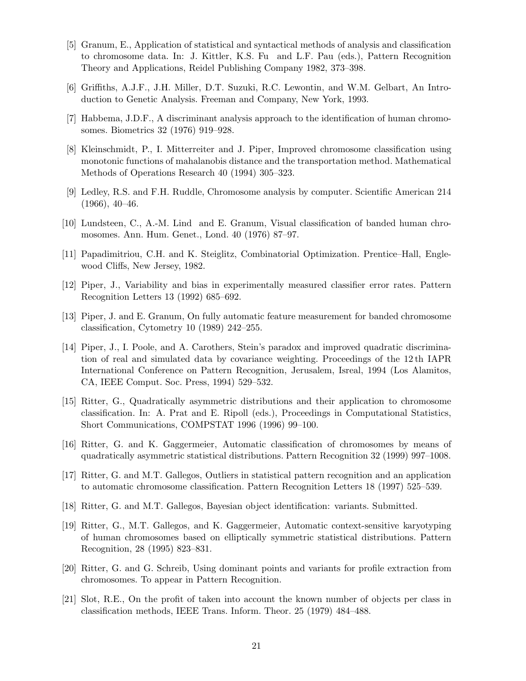- [5] Granum, E., Application of statistical and syntactical methods of analysis and classification to chromosome data. In: J. Kittler, K.S. Fu and L.F. Pau (eds.), Pattern Recognition Theory and Applications, Reidel Publishing Company 1982, 373–398.
- [6] Griffiths, A.J.F., J.H. Miller, D.T. Suzuki, R.C. Lewontin, and W.M. Gelbart, An Introduction to Genetic Analysis. Freeman and Company, New York, 1993.
- [7] Habbema, J.D.F., A discriminant analysis approach to the identification of human chromosomes. Biometrics 32 (1976) 919–928.
- [8] Kleinschmidt, P., I. Mitterreiter and J. Piper, Improved chromosome classification using monotonic functions of mahalanobis distance and the transportation method. Mathematical Methods of Operations Research 40 (1994) 305–323.
- [9] Ledley, R.S. and F.H. Ruddle, Chromosome analysis by computer. Scientific American 214  $(1966), 40-46.$
- [10] Lundsteen, C., A.-M. Lind and E. Granum, Visual classification of banded human chromosomes. Ann. Hum. Genet., Lond. 40 (1976) 87–97.
- [11] Papadimitriou, C.H. and K. Steiglitz, Combinatorial Optimization. Prentice–Hall, Englewood Cliffs, New Jersey, 1982.
- [12] Piper, J., Variability and bias in experimentally measured classifier error rates. Pattern Recognition Letters 13 (1992) 685–692.
- [13] Piper, J. and E. Granum, On fully automatic feature measurement for banded chromosome classification, Cytometry 10 (1989) 242–255.
- [14] Piper, J., I. Poole, and A. Carothers, Stein's paradox and improved quadratic discrimination of real and simulated data by covariance weighting. Proceedings of the 12 th IAPR International Conference on Pattern Recognition, Jerusalem, Isreal, 1994 (Los Alamitos, CA, IEEE Comput. Soc. Press, 1994) 529–532.
- [15] Ritter, G., Quadratically asymmetric distributions and their application to chromosome classification. In: A. Prat and E. Ripoll (eds.), Proceedings in Computational Statistics, Short Communications, COMPSTAT 1996 (1996) 99–100.
- [16] Ritter, G. and K. Gaggermeier, Automatic classification of chromosomes by means of quadratically asymmetric statistical distributions. Pattern Recognition 32 (1999) 997–1008.
- [17] Ritter, G. and M.T. Gallegos, Outliers in statistical pattern recognition and an application to automatic chromosome classification. Pattern Recognition Letters 18 (1997) 525–539.
- [18] Ritter, G. and M.T. Gallegos, Bayesian object identification: variants. Submitted.
- [19] Ritter, G., M.T. Gallegos, and K. Gaggermeier, Automatic context-sensitive karyotyping of human chromosomes based on elliptically symmetric statistical distributions. Pattern Recognition, 28 (1995) 823–831.
- [20] Ritter, G. and G. Schreib, Using dominant points and variants for profile extraction from chromosomes. To appear in Pattern Recognition.
- [21] Slot, R.E., On the profit of taken into account the known number of objects per class in classification methods, IEEE Trans. Inform. Theor. 25 (1979) 484–488.